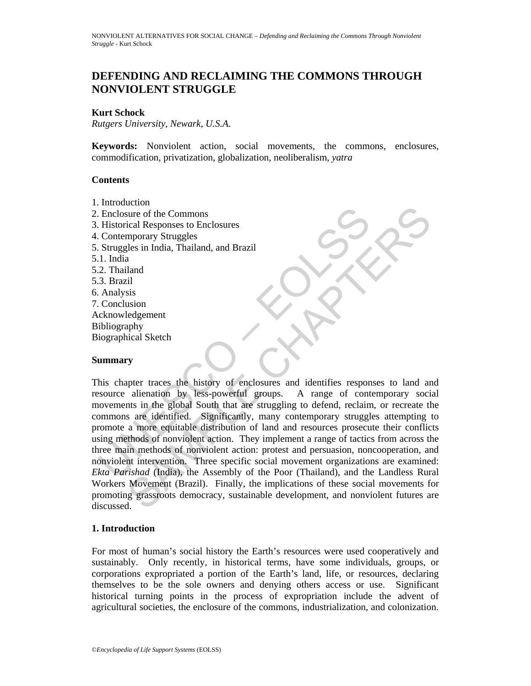# **DEFENDING AND RECLAIMING THE COMMONS THROUGH NONVIOLENT STRUGGLE**

### **Kurt Schock**

*Rutgers University, Newark, U.S.A.* 

**Keywords:** Nonviolent action, social movements, the commons, enclosures, commodification, privatization, globalization, neoliberalism, *yatra*

#### **Contents**

- 1. Introduction
- 2. Enclosure of the Commons
- 3. Historical Responses to Enclosures
- 4. Contemporary Struggles
- 5. Struggles in India, Thailand, and Brazil
- 5.1. India
- 5.2. Thailand
- 5.3. Brazil
- 6. Analysis
- 7. Conclusion
- Acknowledgement Bibliography Biographical Sketch

#### **Summary**

Enclosure of the Commons<br>
Historical Responses to Enclosures<br>
Struggles<br>
Struggles in India, Thailand, and Brazil<br>
1. India<br>
2. Thailand<br>
2. Thailand<br>
3. Brazil<br>
1. India<br>
2. Thailand<br>
3. Brazil<br>
2. Thailand<br>
3. Brazil<br>
2. Example of the Commons<br>
idea Responses to Enclosures<br>
also in India, Thailand, and Brazil<br>
also<br>
also in India, Thailand, and Brazil<br>
also<br>
also<br>
idea<br>
is sis are identified. Significantly, many content are discussed<br>
and This chapter traces the history of enclosures and identifies responses to land and resource alienation by less-powerful groups. A range of contemporary social movements in the global South that are struggling to defend, reclaim, or recreate the commons are identified. Significantly, many contemporary struggles attempting to promote a more equitable distribution of land and resources prosecute their conflicts using methods of nonviolent action. They implement a range of tactics from across the three main methods of nonviolent action: protest and persuasion, noncooperation, and nonviolent intervention. Three specific social movement organizations are examined: *Ekta Parishad* (India), the Assembly of the Poor (Thailand), and the Landless Rural Workers Movement (Brazil). Finally, the implications of these social movements for promoting grassroots democracy, sustainable development, and nonviolent futures are discussed.

## **1. Introduction**

For most of human's social history the Earth's resources were used cooperatively and sustainably. Only recently, in historical terms, have some individuals, groups, or corporations expropriated a portion of the Earth's land, life, or resources, declaring themselves to be the sole owners and denying others access or use. Significant historical turning points in the process of expropriation include the advent of agricultural societies, the enclosure of the commons, industrialization, and colonization.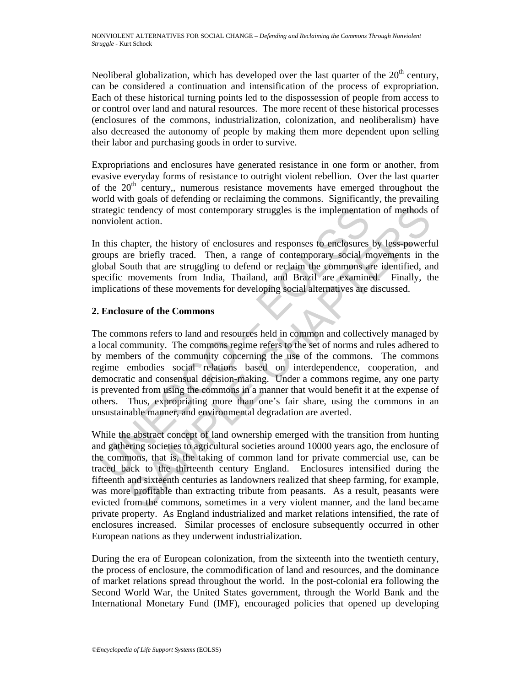Neoliberal globalization, which has developed over the last quarter of the  $20<sup>th</sup>$  century, can be considered a continuation and intensification of the process of expropriation. Each of these historical turning points led to the dispossession of people from access to or control over land and natural resources. The more recent of these historical processes (enclosures of the commons, industrialization, colonization, and neoliberalism) have also decreased the autonomy of people by making them more dependent upon selling their labor and purchasing goods in order to survive.

Expropriations and enclosures have generated resistance in one form or another, from evasive everyday forms of resistance to outright violent rebellion. Over the last quarter of the  $20<sup>th</sup>$  century, numerous resistance movements have emerged throughout the world with goals of defending or reclaiming the commons. Significantly, the prevailing strategic tendency of most contemporary struggles is the implementation of methods of nonviolent action.

In this chapter, the history of enclosures and responses to enclosures by less-powerful groups are briefly traced. Then, a range of contemporary social movements in the global South that are struggling to defend or reclaim the commons are identified, and specific movements from India, Thailand, and Brazil are examined. Finally, the implications of these movements for developing social alternatives are discussed.

# **2. Enclosure of the Commons**

rategic tendency of most contemporary struggles is the implementation<br>violent action.<br>
In this chapter, the history of enclosures and responses to enclosures<br>
roups are briefly traced. Then, a range of contemporary social tendency of most contemporary struggles is the implementation of methods on<br>taction.<br>In action.<br>
In a contemporary struggles is the implementation of methods content<br>
the methody traced. Then, a range of contemporary socia The commons refers to land and resources held in common and collectively managed by a local community. The commons regime refers to the set of norms and rules adhered to by members of the community concerning the use of the commons. The commons regime embodies social relations based on interdependence, cooperation, and democratic and consensual decision-making. Under a commons regime, any one party is prevented from using the commons in a manner that would benefit it at the expense of others. Thus, expropriating more than one's fair share, using the commons in an unsustainable manner, and environmental degradation are averted.

While the abstract concept of land ownership emerged with the transition from hunting and gathering societies to agricultural societies around 10000 years ago, the enclosure of the commons, that is, the taking of common land for private commercial use, can be traced back to the thirteenth century England. Enclosures intensified during the fifteenth and sixteenth centuries as landowners realized that sheep farming, for example, was more profitable than extracting tribute from peasants. As a result, peasants were evicted from the commons, sometimes in a very violent manner, and the land became private property. As England industrialized and market relations intensified, the rate of enclosures increased. Similar processes of enclosure subsequently occurred in other European nations as they underwent industrialization.

During the era of European colonization, from the sixteenth into the twentieth century, the process of enclosure, the commodification of land and resources, and the dominance of market relations spread throughout the world. In the post-colonial era following the Second World War, the United States government, through the World Bank and the International Monetary Fund (IMF), encouraged policies that opened up developing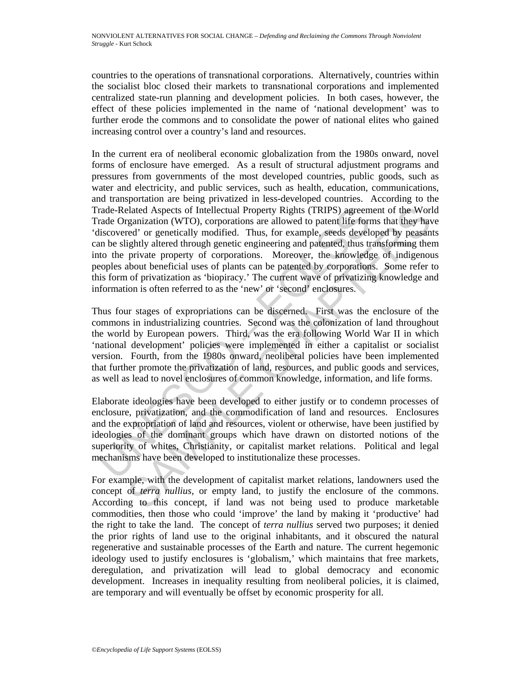countries to the operations of transnational corporations. Alternatively, countries within the socialist bloc closed their markets to transnational corporations and implemented centralized state-run planning and development policies. In both cases, however, the effect of these policies implemented in the name of 'national development' was to further erode the commons and to consolidate the power of national elites who gained increasing control over a country's land and resources.

rade-Related Aspects of Intellectual Property Rights (TRIPS) agreem<br>rade-Related Aspects of Intellectual Property Rights (TRIPS) agreem<br>isocorered or genetically modified. Thus, for example, seeds devel<br>discovered in the b clated Aspects of Intellectual Property Rights (TRIPS) agreement of the Worl<br>ganization (WTO), corporations are allowed to patent life forms that they have<br>ced' or genetically modified. Thus, for example, seeds developed b In the current era of neoliberal economic globalization from the 1980s onward, novel forms of enclosure have emerged. As a result of structural adjustment programs and pressures from governments of the most developed countries, public goods, such as water and electricity, and public services, such as health, education, communications, and transportation are being privatized in less-developed countries. According to the Trade-Related Aspects of Intellectual Property Rights (TRIPS) agreement of the World Trade Organization (WTO), corporations are allowed to patent life forms that they have 'discovered' or genetically modified. Thus, for example, seeds developed by peasants can be slightly altered through genetic engineering and patented, thus transforming them into the private property of corporations. Moreover, the knowledge of indigenous peoples about beneficial uses of plants can be patented by corporations. Some refer to this form of privatization as 'biopiracy.' The current wave of privatizing knowledge and information is often referred to as the 'new' or 'second' enclosures.

Thus four stages of expropriations can be discerned. First was the enclosure of the commons in industrializing countries. Second was the colonization of land throughout the world by European powers. Third, was the era following World War II in which 'national development' policies were implemented in either a capitalist or socialist version. Fourth, from the 1980s onward, neoliberal policies have been implemented that further promote the privatization of land, resources, and public goods and services, as well as lead to novel enclosures of common knowledge, information, and life forms.

Elaborate ideologies have been developed to either justify or to condemn processes of enclosure, privatization, and the commodification of land and resources. Enclosures and the expropriation of land and resources, violent or otherwise, have been justified by ideologies of the dominant groups which have drawn on distorted notions of the superiority of whites, Christianity, or capitalist market relations. Political and legal mechanisms have been developed to institutionalize these processes.

For example, with the development of capitalist market relations, landowners used the concept of *terra nullius*, or empty land, to justify the enclosure of the commons. According to this concept, if land was not being used to produce marketable commodities, then those who could 'improve' the land by making it 'productive' had the right to take the land. The concept of *terra nullius* served two purposes; it denied the prior rights of land use to the original inhabitants, and it obscured the natural regenerative and sustainable processes of the Earth and nature. The current hegemonic ideology used to justify enclosures is 'globalism,' which maintains that free markets, deregulation, and privatization will lead to global democracy and economic development. Increases in inequality resulting from neoliberal policies, it is claimed, are temporary and will eventually be offset by economic prosperity for all.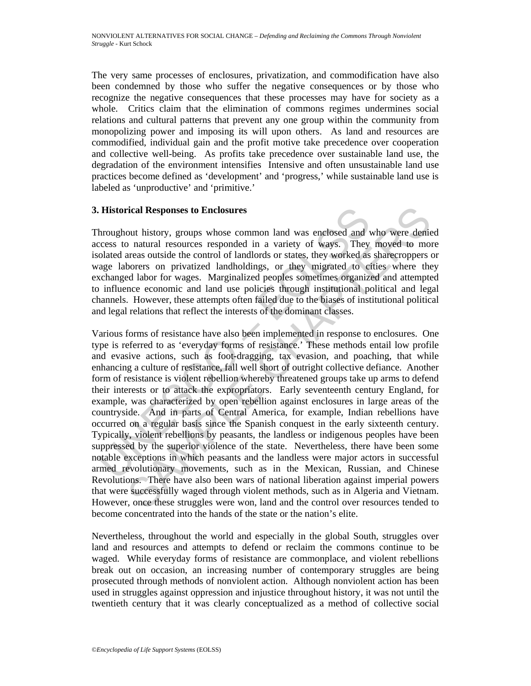The very same processes of enclosures, privatization, and commodification have also been condemned by those who suffer the negative consequences or by those who recognize the negative consequences that these processes may have for society as a whole. Critics claim that the elimination of commons regimes undermines social relations and cultural patterns that prevent any one group within the community from monopolizing power and imposing its will upon others. As land and resources are commodified, individual gain and the profit motive take precedence over cooperation and collective well-being. As profits take precedence over sustainable land use, the degradation of the environment intensifies Intensive and often unsustainable land use practices become defined as 'development' and 'progress,' while sustainable land use is labeled as 'unproductive' and 'primitive.'

# **3. Historical Responses to Enclosures**

Throughout history, groups whose common land was enclosed and who were denied access to natural resources responded in a variety of ways. They moved to more isolated areas outside the control of landlords or states, they worked as sharecroppers or wage laborers on privatized landholdings, or they migrated to cities where they exchanged labor for wages. Marginalized peoples sometimes organized and attempted to influence economic and land use policies through institutional political and legal channels. However, these attempts often failed due to the biases of institutional political and legal relations that reflect the interests of the dominant classes.

**Example 16** Historical Responses to Enclosures<br>
hroughout history, groups whose common land was enclosed and<br>
creess to natural resources responded in a variety of ways. They<br>
olated areas outside the control of landlords **Teal Responses to Enclosures**<br>
cival Responses to Enclosures<br>
out history, groups whose common land was enclosed and who were denies<br>
natural resources responded in a variety of ways. They moved to more<br>
areas outside the Various forms of resistance have also been implemented in response to enclosures. One type is referred to as 'everyday forms of resistance.' These methods entail low profile and evasive actions, such as foot-dragging, tax evasion, and poaching, that while enhancing a culture of resistance, fall well short of outright collective defiance. Another form of resistance is violent rebellion whereby threatened groups take up arms to defend their interests or to attack the expropriators. Early seventeenth century England, for example, was characterized by open rebellion against enclosures in large areas of the countryside. And in parts of Central America, for example, Indian rebellions have occurred on a regular basis since the Spanish conquest in the early sixteenth century. Typically, violent rebellions by peasants, the landless or indigenous peoples have been suppressed by the superior violence of the state. Nevertheless, there have been some notable exceptions in which peasants and the landless were major actors in successful armed revolutionary movements, such as in the Mexican, Russian, and Chinese Revolutions. There have also been wars of national liberation against imperial powers that were successfully waged through violent methods, such as in Algeria and Vietnam. However, once these struggles were won, land and the control over resources tended to become concentrated into the hands of the state or the nation's elite.

Nevertheless, throughout the world and especially in the global South, struggles over land and resources and attempts to defend or reclaim the commons continue to be waged. While everyday forms of resistance are commonplace, and violent rebellions break out on occasion, an increasing number of contemporary struggles are being prosecuted through methods of nonviolent action. Although nonviolent action has been used in struggles against oppression and injustice throughout history, it was not until the twentieth century that it was clearly conceptualized as a method of collective social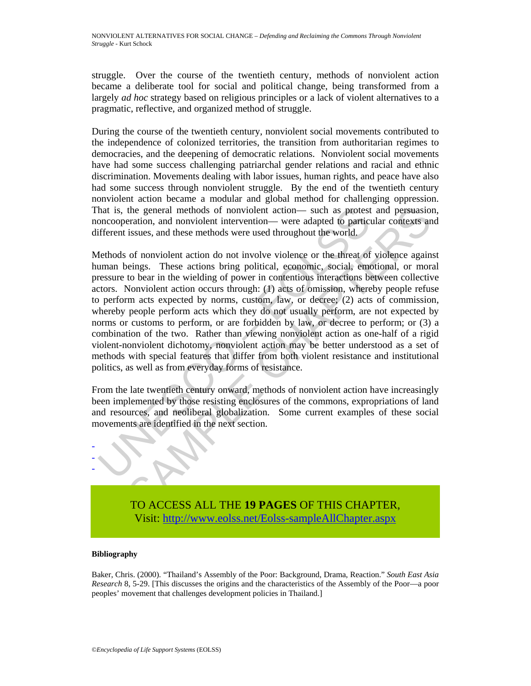struggle. Over the course of the twentieth century, methods of nonviolent action became a deliberate tool for social and political change, being transformed from a largely *ad hoc* strategy based on religious principles or a lack of violent alternatives to a pragmatic, reflective, and organized method of struggle.

During the course of the twentieth century, nonviolent social movements contributed to the independence of colonized territories, the transition from authoritarian regimes to democracies, and the deepening of democratic relations. Nonviolent social movements have had some success challenging patriarchal gender relations and racial and ethnic discrimination. Movements dealing with labor issues, human rights, and peace have also had some success through nonviolent struggle. By the end of the twentieth century nonviolent action became a modular and global method for challenging oppression. That is, the general methods of nonviolent action— such as protest and persuasion, noncooperation, and nonviolent intervention— were adapted to particular contexts and different issues, and these methods were used throughout the world.

hat is, the general methods of nonviolent action— such as protest<br>onccooperation, and nonviolent intervention— were adapted to partici<br>fferent issues, and these methods were used throughout the world.<br>Iethods of nonviolent the general methods of nonviolent action— such as protest and persuasion<br>teration, and nonviolent intervention— were adapted to particular contexts an<br>issues, and these methods were used throughout the world.<br>of nonviolent Methods of nonviolent action do not involve violence or the threat of violence against human beings. These actions bring political, economic, social, emotional, or moral pressure to bear in the wielding of power in contentious interactions between collective actors. Nonviolent action occurs through: (1) acts of omission, whereby people refuse to perform acts expected by norms, custom, law, or decree; (2) acts of commission, whereby people perform acts which they do not usually perform, are not expected by norms or customs to perform, or are forbidden by law, or decree to perform; or (3) a combination of the two. Rather than viewing nonviolent action as one-half of a rigid violent-nonviolent dichotomy, nonviolent action may be better understood as a set of methods with special features that differ from both violent resistance and institutional politics, as well as from everyday forms of resistance.

From the late twentieth century onward, methods of nonviolent action have increasingly been implemented by those resisting enclosures of the commons, expropriations of land and resources, and neoliberal globalization. Some current examples of these social movements are identified in the next section.



TO ACCESS ALL THE **19 PAGES** OF THIS CHAPTER, [Visit: http://www.eolss.net/Eolss-sampleAllChapter.aspx](https://www.eolss.net/ebooklib/sc_cart.aspx?File=E6-120-10)

#### **Bibliography**

Baker, Chris. (2000). "Thailand's Assembly of the Poor: Background, Drama, Reaction." *South East Asia Research* 8, 5-29. [This discusses the origins and the characteristics of the Assembly of the Poor—a poor peoples' movement that challenges development policies in Thailand.]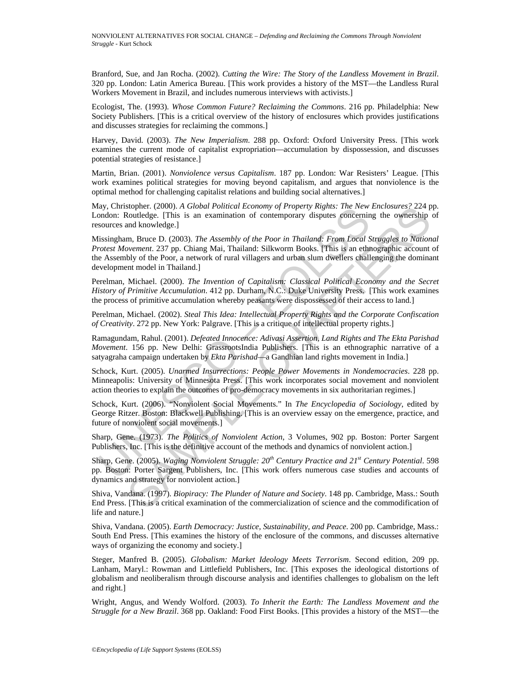Branford, Sue, and Jan Rocha. (2002). *Cutting the Wire: The Story of the Landless Movement in Brazil*. 320 pp. London: Latin America Bureau. [This work provides a history of the MST—the Landless Rural Workers Movement in Brazil, and includes numerous interviews with activists.]

Ecologist, The. (1993). *Whose Common Future? Reclaiming the Commons*. 216 pp. Philadelphia: New Society Publishers. [This is a critical overview of the history of enclosures which provides justifications and discusses strategies for reclaiming the commons.]

Harvey, David. (2003). *The New Imperialism*. 288 pp. Oxford: Oxford University Press. [This work examines the current mode of capitalist expropriation—accumulation by dispossession, and discusses potential strategies of resistance.]

Martin, Brian. (2001). *Nonviolence versus Capitalism*. 187 pp. London: War Resisters' League. [This work examines political strategies for moving beyond capitalism, and argues that nonviolence is the optimal method for challenging capitalist relations and building social alternatives.]

May, Christopher. (2000). *A Global Political Economy of Property Rights: The New Enclosures?* 224 pp. London: Routledge. [This is an examination of contemporary disputes concerning the ownership of resources and knowledge.]

ay, Christopher. (2000). *A Global Polutical Economy of Property Rignis: The New Newton, Dondon:* Routledge. [This is an examination of contempary disputes concerninources and knowledge.]<br>
lissingham, Bruce D. (2003). *The* stoper. (2000). *A Global Pointical Economy of Property Regists: The New Enciosures? 224* p<br>stoutedge. [This is an examination of contemporary digentes of the New Enciosures? 224 p<br>and knowledge.]<br>m, Bruce D. (2003). The A Missingham, Bruce D. (2003). *The Assembly of the Poor in Thailand: From Local Struggles to National Protest Movement*. 237 pp. Chiang Mai, Thailand: Silkworm Books. [This is an ethnographic account of the Assembly of the Poor, a network of rural villagers and urban slum dwellers challenging the dominant development model in Thailand.]

Perelman, Michael. (2000). *The Invention of Capitalism: Classical Political Economy and the Secret History of Primitive Accumulation*. 412 pp. Durham, N.C.: Duke University Press. [This work examines the process of primitive accumulation whereby peasants were dispossessed of their access to land.]

Perelman, Michael. (2002). *Steal This Idea: Intellectual Property Rights and the Corporate Confiscation of Creativity*. 272 pp. New York: Palgrave. [This is a critique of intellectual property rights.]

Ramagundam, Rahul. (2001). *Defeated Innocence: Adivasi Assertion, Land Rights and The Ekta Parishad Movement*. 156 pp. New Delhi: GrassrootsIndia Publishers. [This is an ethnographic narrative of a satyagraha campaign undertaken by *Ekta Parishad*—a Gandhian land rights movement in India.]

Schock, Kurt. (2005). *Unarmed Insurrections: People Power Movements in Nondemocracies*. 228 pp. Minneapolis: University of Minnesota Press. [This work incorporates social movement and nonviolent action theories to explain the outcomes of pro-democracy movements in six authoritarian regimes.]

Schock, Kurt. (2006). "Nonviolent Social Movements." In *The Encyclopedia of Sociology*, edited by George Ritzer. Boston: Blackwell Publishing. [This is an overview essay on the emergence, practice, and future of nonviolent social movements.]

Sharp, Gene. (1973). *The Politics of Nonviolent Action*, 3 Volumes, 902 pp. Boston: Porter Sargent Publishers, Inc. [This is the definitive account of the methods and dynamics of nonviolent action.]

Sharp, Gene. (2005). *Waging Nonviolent Struggle: 20th Century Practice and 21st Century Potential*. 598 pp. Boston: Porter Sargent Publishers, Inc. [This work offers numerous case studies and accounts of dynamics and strategy for nonviolent action.]

Shiva, Vandana. (1997). *Biopiracy: The Plunder of Nature and Society*. 148 pp. Cambridge, Mass.: South End Press. [This is a critical examination of the commercialization of science and the commodification of life and nature.]

Shiva, Vandana. (2005). *Earth Democracy: Justice, Sustainability, and Peace*. 200 pp. Cambridge, Mass.: South End Press. [This examines the history of the enclosure of the commons, and discusses alternative ways of organizing the economy and society.]

Steger, Manfred B. (2005). *Globalism: Market Ideology Meets Terrorism*. Second edition, 209 pp. Lanham, Maryl.: Rowman and Littlefield Publishers, Inc. [This exposes the ideological distortions of globalism and neoliberalism through discourse analysis and identifies challenges to globalism on the left and right.]

Wright, Angus, and Wendy Wolford. (2003). *To Inherit the Earth: The Landless Movement and the Struggle for a New Brazil*. 368 pp. Oakland: Food First Books. [This provides a history of the MST—the